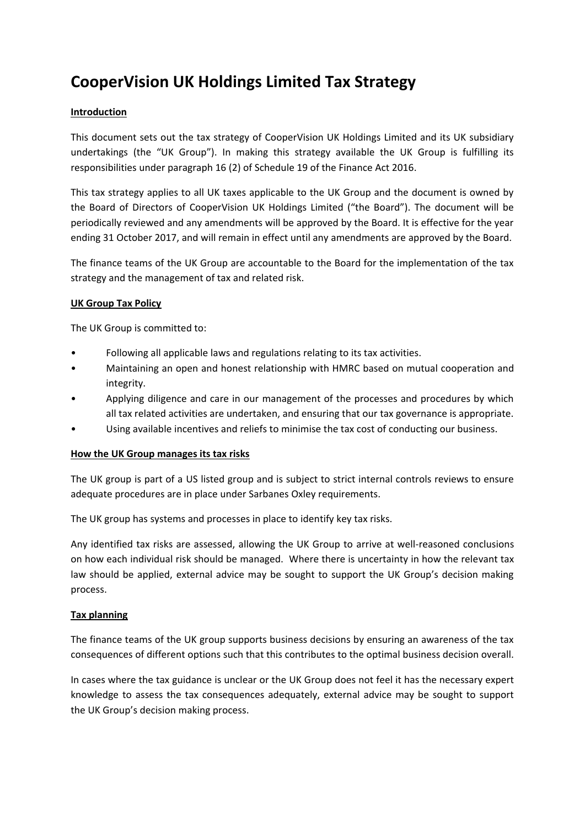# **CooperVision UK Holdings Limited Tax Strategy**

## **Introduction**

This document sets out the tax strategy of CooperVision UK Holdings Limited and its UK subsidiary undertakings (the "UK Group"). In making this strategy available the UK Group is fulfilling its responsibilities under paragraph 16 (2) of Schedule 19 of the Finance Act 2016.

This tax strategy applies to all UK taxes applicable to the UK Group and the document is owned by the Board of Directors of CooperVision UK Holdings Limited ("the Board"). The document will be periodically reviewed and any amendments will be approved by the Board. It is effective for the year ending 31 October 2017, and will remain in effect until any amendments are approved by the Board.

The finance teams of the UK Group are accountable to the Board for the implementation of the tax strategy and the management of tax and related risk.

## **UK Group Tax Policy**

The UK Group is committed to:

- Following all applicable laws and regulations relating to its tax activities.
- Maintaining an open and honest relationship with HMRC based on mutual cooperation and integrity.
- Applying diligence and care in our management of the processes and procedures by which all tax related activities are undertaken, and ensuring that our tax governance is appropriate.
- Using available incentives and reliefs to minimise the tax cost of conducting our business.

#### **How the UK Group manages its tax risks**

The UK group is part of a US listed group and is subject to strict internal controls reviews to ensure adequate procedures are in place under Sarbanes Oxley requirements.

The UK group has systems and processes in place to identify key tax risks.

Any identified tax risks are assessed, allowing the UK Group to arrive at well-reasoned conclusions on how each individual risk should be managed. Where there is uncertainty in how the relevant tax law should be applied, external advice may be sought to support the UK Group's decision making process.

# **Tax planning**

The finance teams of the UK group supports business decisions by ensuring an awareness of the tax consequences of different options such that this contributes to the optimal business decision overall.

In cases where the tax guidance is unclear or the UK Group does not feel it has the necessary expert knowledge to assess the tax consequences adequately, external advice may be sought to support the UK Group's decision making process.